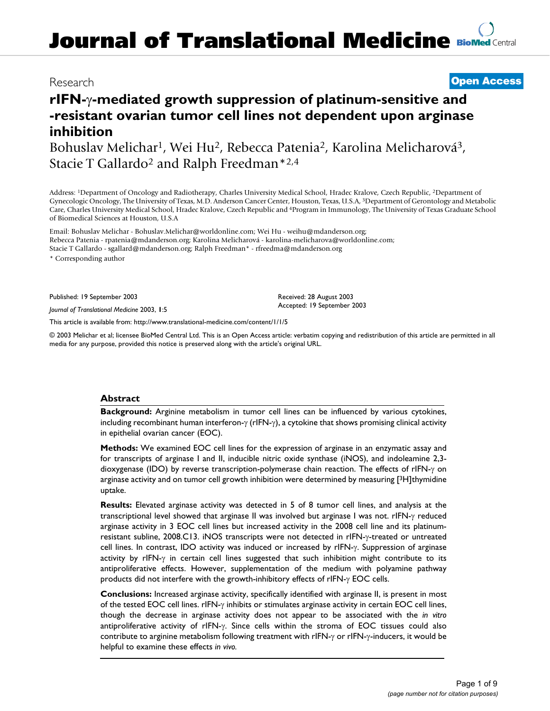# **Journal of Translational Medicine [BioMed](http://www.biomedcentral.com/) Central**

## **rIFN-**γ**-mediated growth suppression of platinum-sensitive and -resistant ovarian tumor cell lines not dependent upon arginase inhibition**

Bohuslav Melichar<sup>1</sup>, Wei Hu<sup>2</sup>, Rebecca Patenia<sup>2</sup>, Karolina Melicharová<sup>3</sup>, Stacie T Gallardo<sup>2</sup> and Ralph Freedman<sup>\*2,4</sup>

Address: 1Department of Oncology and Radiotherapy, Charles University Medical School, Hradec Kralove, Czech Republic, 2Department of Gynecologic Oncology, The University of Texas, M.D. Anderson Cancer Center, Houston, Texas, U.S.A, 3Department of Gerontology and Metabolic Care, Charles University Medical School, Hradec Kralove, Czech Republic and 4Program in Immunology, The University of Texas Graduate School of Biomedical Sciences at Houston, U.S.A

Email: Bohuslav Melichar - Bohuslav.Melichar@worldonline.com; Wei Hu - weihu@mdanderson.org; Rebecca Patenia - rpatenia@mdanderson.org; Karolina Melicharová - karolina-melicharova@worldonline.com; Stacie T Gallardo - sgallard@mdanderson.org; Ralph Freedman\* - rfreedma@mdanderson.org

\* Corresponding author

Published: 19 September 2003

*Journal of Translational Medicine* 2003, **1**:5

[This article is available from: http://www.translational-medicine.com/content/1/1/5](http://www.translational-medicine.com/content/1/1/5)

© 2003 Melichar et al; licensee BioMed Central Ltd. This is an Open Access article: verbatim copying and redistribution of this article are permitted in all media for any purpose, provided this notice is preserved along with the article's original URL.

#### **Abstract**

**Background:** Arginine metabolism in tumor cell lines can be influenced by various cytokines, including recombinant human interferon-γ (rIFN-γ), a cytokine that shows promising clinical activity in epithelial ovarian cancer (EOC).

**Methods:** We examined EOC cell lines for the expression of arginase in an enzymatic assay and for transcripts of arginase I and II, inducible nitric oxide synthase (iNOS), and indoleamine 2,3 dioxygenase (IDO) by reverse transcription-polymerase chain reaction. The effects of rIFN-γ on arginase activity and on tumor cell growth inhibition were determined by measuring [3H]thymidine uptake.

**Results:** Elevated arginase activity was detected in 5 of 8 tumor cell lines, and analysis at the transcriptional level showed that arginase II was involved but arginase I was not. rIFN-γ reduced arginase activity in 3 EOC cell lines but increased activity in the 2008 cell line and its platinumresistant subline, 2008.C13. iNOS transcripts were not detected in rIFN-γ-treated or untreated cell lines. In contrast, IDO activity was induced or increased by rIFN-γ. Suppression of arginase activity by rIFN-γ in certain cell lines suggested that such inhibition might contribute to its antiproliferative effects. However, supplementation of the medium with polyamine pathway products did not interfere with the growth-inhibitory effects of rIFN-γ EOC cells.

**Conclusions:** Increased arginase activity, specifically identified with arginase II, is present in most of the tested EOC cell lines. rIFN-γ inhibits or stimulates arginase activity in certain EOC cell lines, though the decrease in arginase activity does not appear to be associated with the *in vitro* antiproliferative activity of rIFN-γ. Since cells within the stroma of EOC tissues could also contribute to arginine metabolism following treatment with rIFN-γ or rIFN-γ-inducers, it would be helpful to examine these effects *in vivo.*

### Research **[Open Access](http://www.biomedcentral.com/info/about/charter/)**

Received: 28 August 2003 Accepted: 19 September 2003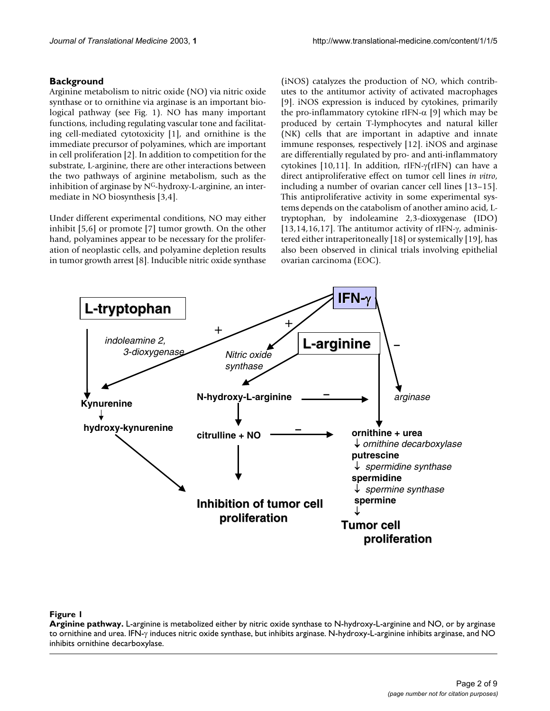#### **Background**

Arginine metabolism to nitric oxide (NO) via nitric oxide synthase or to ornithine via arginase is an important biological pathway (see Fig. 1). NO has many important functions, including regulating vascular tone and facilitating cell-mediated cytotoxicity [1], and ornithine is the immediate precursor of polyamines, which are important in cell proliferation [2]. In addition to competition for the substrate, L-arginine, there are other interactions between the two pathways of arginine metabolism, such as the inhibition of arginase by  $N<sup>C</sup>$ -hydroxy-L-arginine, an intermediate in NO biosynthesis [3,4].

Under different experimental conditions, NO may either inhibit [5,6] or promote [7] tumor growth. On the other hand, polyamines appear to be necessary for the proliferation of neoplastic cells, and polyamine depletion results in tumor growth arrest [[8](#page-7-0)]. Inducible nitric oxide synthase (iNOS) catalyzes the production of NO, which contributes to the antitumor activity of activated macrophages [9]. iNOS expression is induced by cytokines, primarily the pro-inflammatory cytokine rIFN- $α$  [9] which may be produced by certain T-lymphocytes and natural killer (NK) cells that are important in adaptive and innate immune responses, respectively [12]. iNOS and arginase are differentially regulated by pro- and anti-inflammatory cytokines [10,11]. In addition, rIFN-γ(rIFN) can have a direct antiproliferative effect on tumor cell lines *in vitro*, including a number of ovarian cancer cell lines [13–15]. This antiproliferative activity in some experimental systems depends on the catabolism of another amino acid, Ltryptophan, by indoleamine 2,3-dioxygenase (IDO) [13,14,16,17]. The antitumor activity of rIFN-γ, administered either intraperitoneally [18] or systemically [19], has also been observed in clinical trials involving epithelial ovarian carcinoma (EOC).



#### **Figure 1**

**Arginine pathway.** L-arginine is metabolized either by nitric oxide synthase to N-hydroxy-L-arginine and NO, or by arginase to ornithine and urea. IFN-γ induces nitric oxide synthase, but inhibits arginase. N-hydroxy-L-arginine inhibits arginase, and NO inhibits ornithine decarboxylase.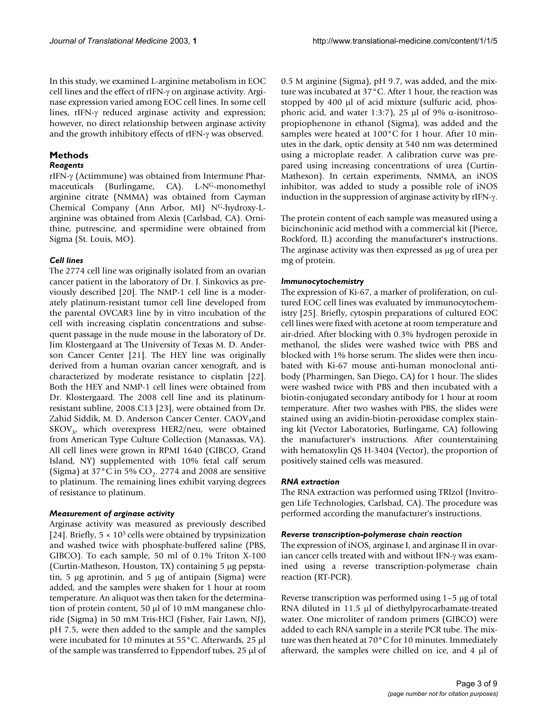In this study, we examined L-arginine metabolism in EOC cell lines and the effect of rIFN-γ on arginase activity. Arginase expression varied among EOC cell lines. In some cell lines, rIFN-γ reduced arginase activity and expression; however, no direct relationship between arginase activity and the growth inhibitory effects of rIFN-γ was observed.

#### **Methods**

#### *Reagents*

rIFN-γ (Actimmune) was obtained from Intermune Pharmaceuticals (Burlingame, CA). L-N<sup>G</sup>-monomethyl arginine citrate (NMMA) was obtained from Cayman Chemical Company (Ann Arbor, MI) NG-hydroxy-Larginine was obtained from Alexis (Carlsbad, CA). Ornithine, putrescine, and spermidine were obtained from Sigma (St. Louis, MO).

#### *Cell lines*

The 2774 cell line was originally isolated from an ovarian cancer patient in the laboratory of Dr. J. Sinkovics as previously described [20]. The NMP-1 cell line is a moderately platinum-resistant tumor cell line developed from the parental OVCAR3 line by in vitro incubation of the cell with increasing cisplatin concentrations and subsequent passage in the nude mouse in the laboratory of Dr. Jim Klostergaard at The University of Texas M. D. Anderson Cancer Center [21]. The HEY line was originally derived from a human ovarian cancer xenograft, and is characterized by moderate resistance to cisplatin [22]. Both the HEY and NMP-1 cell lines were obtained from Dr. Klostergaard. The 2008 cell line and its platinumresistant subline, 2008.C13 [23], were obtained from Dr. Zahid Siddik, M. D. Anderson Cancer Center.  $CAOV_3$ and  $SKOV<sub>3</sub>$ , which overexpress HER2/neu, were obtained from American Type Culture Collection (Manassas, VA). All cell lines were grown in RPMI 1640 (GIBCO, Grand Island, NY) supplemented with 10% fetal calf serum (Sigma) at 37°C in 5%  $CO<sub>2</sub>$ . 2774 and 2008 are sensitive to platinum. The remaining lines exhibit varying degrees of resistance to platinum.

#### *Measurement of arginase activity*

Arginase activity was measured as previously described [24]. Briefly,  $5 \times 10^5$  cells were obtained by trypsinization and washed twice with phosphate-buffered saline (PBS, GIBCO). To each sample, 50 ml of 0.1% Triton X-100 (Curtin-Matheson, Houston, TX) containing 5 µg pepstatin, 5 µg aprotinin, and 5 µg of antipain (Sigma) were added, and the samples were shaken for 1 hour at room temperature. An aliquot was then taken for the determination of protein content, 50 µl of 10 mM manganese chloride (Sigma) in 50 mM Tris-HCl (Fisher, Fair Lawn, NJ), pH 7.5, were then added to the sample and the samples were incubated for 10 minutes at 55°C. Afterwards, 25 µl of the sample was transferred to Eppendorf tubes, 25 µl of 0.5 M arginine (Sigma), pH 9.7, was added, and the mixture was incubated at 37°C. After 1 hour, the reaction was stopped by 400 µl of acid mixture (sulfuric acid, phosphoric acid, and water 1:3:7), 25 μl of 9% α-isonitrosopropiophenone in ethanol (Sigma), was added and the samples were heated at 100°C for 1 hour. After 10 minutes in the dark, optic density at 540 nm was determined using a microplate reader. A calibration curve was prepared using increasing concentrations of urea (Curtin-Matheson). In certain experiments, NMMA, an iNOS inhibitor, was added to study a possible role of iNOS induction in the suppression of arginase activity by rIFN-γ.

The protein content of each sample was measured using a bicinchoninic acid method with a commercial kit (Pierce, Rockford, IL) according the manufacturer's instructions. The arginase activity was then expressed as µg of urea per mg of protein.

#### *Immunocytochemistry*

The expression of Ki-67, a marker of proliferation, on cultured EOC cell lines was evaluated by immunocytochemistry [25]. Briefly, cytospin preparations of cultured EOC cell lines were fixed with acetone at room temperature and air-dried. After blocking with 0.3% hydrogen peroxide in methanol, the slides were washed twice with PBS and blocked with 1% horse serum. The slides were then incubated with Ki-67 mouse anti-human monoclonal antibody (Pharmingen, San Diego, CA) for 1 hour. The slides were washed twice with PBS and then incubated with a biotin-conjugated secondary antibody for 1 hour at room temperature. After two washes with PBS, the slides were stained using an avidin-biotin-peroxidase complex staining kit (Vector Laboratories, Burlingame, CA) following the manufacturer's instructions. After counterstaining with hematoxylin QS H-3404 (Vector), the proportion of positively stained cells was measured.

#### *RNA extraction*

The RNA extraction was performed using TRIzol (Invitrogen Life Technologies, Carlsbad, CA). The procedure was performed according the manufacturer's instructions.

#### *Reverse transcription-polymerase chain reaction*

The expression of iNOS, arginase I, and arginase II in ovarian cancer cells treated with and without IFN-γ was examined using a reverse transcription-polymerase chain reaction (RT-PCR).

Reverse transcription was performed using 1–5 µg of total RNA diluted in 11.5 µl of diethylpyrocarbamate-treated water. One microliter of random primers (GIBCO) were added to each RNA sample in a sterile PCR tube. The mixture was then heated at 70°C for 10 minutes. Immediately afterward, the samples were chilled on ice, and  $4 \mu$ l of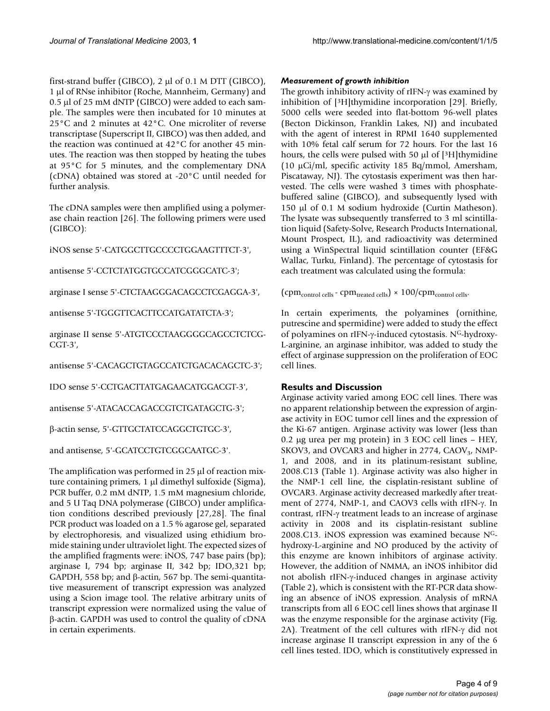first-strand buffer (GIBCO), 2 µl of 0.1 M DTT (GIBCO), 1 µl of RNse inhibitor (Roche, Mannheim, Germany) and 0.5 µl of 25 mM dNTP (GIBCO) were added to each sample. The samples were then incubated for 10 minutes at 25°C and 2 minutes at 42°C. One microliter of reverse transcriptase (Superscript II, GIBCO) was then added, and the reaction was continued at 42°C for another 45 minutes. The reaction was then stopped by heating the tubes at 95°C for 5 minutes, and the complementary DNA (cDNA) obtained was stored at -20°C until needed for further analysis.

The cDNA samples were then amplified using a polymerase chain reaction [26]. The following primers were used (GIBCO):

iNOS sense 5'-CATGGCTTGCCCCTGGAAGTTTCT-3',

antisense 5'-CCTCTATGGTGCCATCGGGCATC-3';

arginase I sense 5'-CTCTAAGGGACAGCCTCGAGGA-3',

antisense 5'-TGGGTTCACTTCCATGATATCTA-3';

arginase II sense 5'-ATGTCCCTAAGGGGCAGCCTCTCG-CGT-3',

antisense 5'-CACAGCTGTAGCCATCTGACACAGCTC-3';

IDO sense 5'-CCTGACTTATGAGAACATGGACGT-3',

antisense 5'-ATACACCAGACCGTCTGATAGCTG-3';

β-actin sense, 5'-GTTGCTATCCAGGCTGTGC-3',

and antisense, 5'-GCATCCTGTCGGCAATGC-3'.

The amplification was performed in 25 µl of reaction mixture containing primers, 1 µl dimethyl sulfoxide (Sigma), PCR buffer, 0.2 mM dNTP, 1.5 mM magnesium chloride, and 5 U Taq DNA polymerase (GIBCO) under amplification conditions described previously [27,28]. The final PCR product was loaded on a 1.5 % agarose gel, separated by electrophoresis, and visualized using ethidium bromide staining under ultraviolet light. The expected sizes of the amplified fragments were: iNOS, 747 base pairs (bp); arginase I, 794 bp; arginase II, 342 bp; IDO,321 bp; GAPDH, 558 bp; and β-actin, 567 bp. The semi-quantitative measurement of transcript expression was analyzed using a Scion image tool. The relative arbitrary units of transcript expression were normalized using the value of β-actin. GAPDH was used to control the quality of cDNA in certain experiments.

#### *Measurement of growth inhibition*

The growth inhibitory activity of rIFN-γ was examined by inhibition of [3H]thymidine incorporation [29]. Briefly, 5000 cells were seeded into flat-bottom 96-well plates (Becton Dickinson, Franklin Lakes, NJ) and incubated with the agent of interest in RPMI 1640 supplemented with 10% fetal calf serum for 72 hours. For the last 16 hours, the cells were pulsed with 50 µl of [3H]thymidine (10 µCi/ml, specific activity 185 Bq/mmol, Amersham, Piscataway, NJ). The cytostasis experiment was then harvested. The cells were washed 3 times with phosphatebuffered saline (GIBCO), and subsequently lysed with 150 µl of 0.1 M sodium hydroxide (Curtin Matheson). The lysate was subsequently transferred to 3 ml scintillation liquid (Safety-Solve, Research Products International, Mount Prospect, IL), and radioactivity was determined using a WinSpectral liquid scintillation counter (EF&G Wallac, Turku, Finland). The percentage of cytostasis for each treatment was calculated using the formula:

 $\rm (cpm_{control~cells}$  -  $cpm_{treated~cells}) \times 100/cpm_{control~cells}$ 

In certain experiments, the polyamines (ornithine, putrescine and spermidine) were added to study the effect of polyamines on rIFN-γ-induced cytostasis. NG-hydroxy-L-arginine, an arginase inhibitor, was added to study the effect of arginase suppression on the proliferation of EOC cell lines.

#### **Results and Discussion**

Arginase activity varied among EOC cell lines. There was no apparent relationship between the expression of arginase activity in EOC tumor cell lines and the expression of the Ki-67 antigen. Arginase activity was lower (less than 0.2 µg urea per mg protein) in 3 EOC cell lines – HEY, SKOV3, and OVCAR3 and higher in 2774, CAOV<sub>3</sub>, NMP-1, and 2008, and in its platinum-resistant subline, 2008.C13 (Table [1\)](#page-5-0). Arginase activity was also higher in the NMP-1 cell line, the cisplatin-resistant subline of OVCAR3. Arginase activity decreased markedly after treatment of 2774, NMP-1, and CAOV3 cells with rIFN-γ. In contrast, rIFN-γ treatment leads to an increase of arginase activity in 2008 and its cisplatin-resistant subline 2008.C13. iNOS expression was examined because  $N<sup>G</sup>$ hydroxy-L-arginine and NO produced by the activity of this enzyme are known inhibitors of arginase activity. However, the addition of NMMA, an iNOS inhibitor did not abolish rIFN-γ-induced changes in arginase activity (Table [2](#page-5-1)), which is consistent with the RT-PCR data showing an absence of iNOS expression. Analysis of mRNA transcripts from all 6 EOC cell lines shows that arginase II was the enzyme responsible for the arginase activity (Fig. 2A). Treatment of the cell cultures with rIFN-γ did not increase arginase II transcript expression in any of the 6 cell lines tested. IDO, which is constitutively expressed in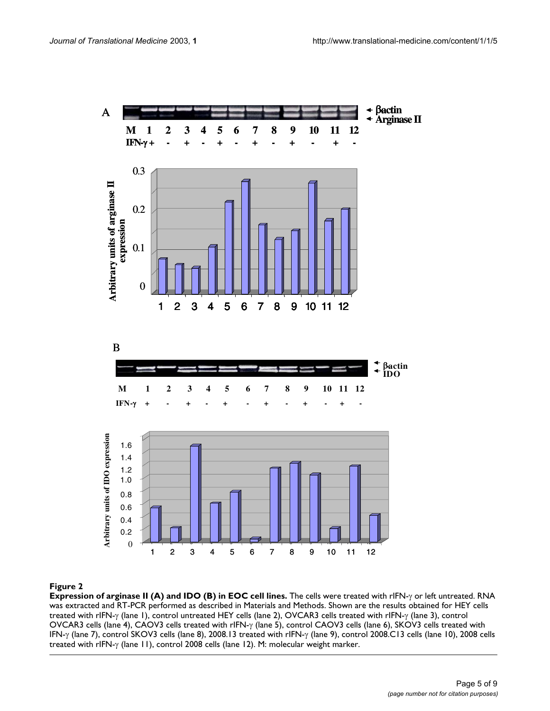

#### Figure 2

**Expression of arginase II (A) and IDO (B) in EOC cell lines.** The cells were treated with rIFN-γ or left untreated. RNA was extracted and RT-PCR performed as described in Materials and Methods. Shown are the results obtained for HEY cells treated with rIFN-γ (lane 1), control untreated HEY cells (lane 2), OVCAR3 cells treated with rIFN-γ (lane 3), control OVCAR3 cells (lane 4), CAOV3 cells treated with rIFN-γ (lane 5), control CAOV3 cells (lane 6), SKOV3 cells treated with IFN-γ (lane 7), control SKOV3 cells (lane 8), 2008.13 treated with rIFN-γ (lane 9), control 2008.C13 cells (lane 10), 2008 cells treated with rIFN-γ (lane 11), control 2008 cells (lane 12). M: molecular weight marker.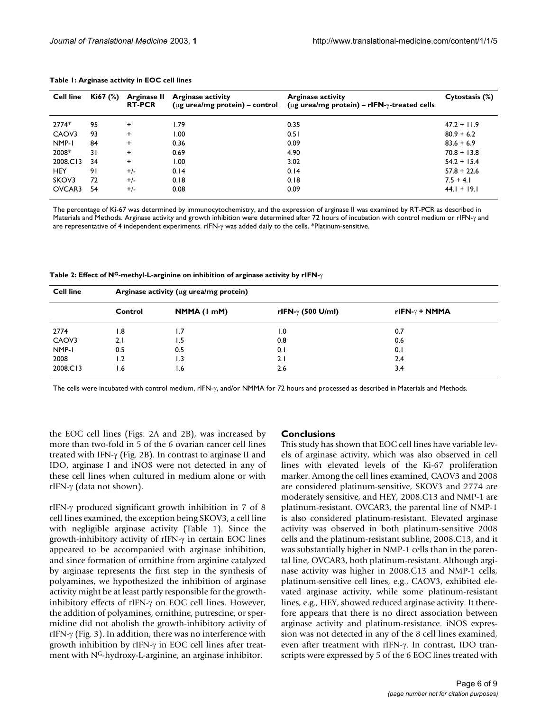| <b>Cell line</b> | Ki67 (%) | Arginase II<br><b>RT-PCR</b> | <b>Arginase activity</b><br>$(\mu$ g urea/mg protein) – control | <b>Arginase activity</b><br>( $\mu$ g urea/mg protein) – rIFN- $\gamma$ -treated cells | Cytostasis (%) |
|------------------|----------|------------------------------|-----------------------------------------------------------------|----------------------------------------------------------------------------------------|----------------|
| $2774*$          | 95       | $\ddot{}$                    | l.79                                                            | 0.35                                                                                   | $47.2 + 11.9$  |
| CAOV3            | 93       | $\ddot{}$                    | 1.00                                                            | 0.51                                                                                   | $80.9 + 6.2$   |
| NMP-1            | 84       | $\ddot{}$                    | 0.36                                                            | 0.09                                                                                   | $83.6 + 6.9$   |
| 2008*            | 31       | $\ddot{}$                    | 0.69                                                            | 4.90                                                                                   | $70.8 + 13.8$  |
| 2008.CI3         | 34       | $\pm$                        | 1.00                                                            | 3.02                                                                                   | $54.2 + 15.4$  |
| HEY              | 91       | $+/-$                        | 0.14                                                            | 0.14                                                                                   | $57.8 + 22.6$  |
| SKOV3            | 72       | $+/-$                        | 0.18                                                            | 0.18                                                                                   | $7.5 + 4.1$    |
| OVCAR3           | 54       | $+/-$                        | 0.08                                                            | 0.09                                                                                   | $44.1 + 19.1$  |

#### <span id="page-5-0"></span>**Table 1: Arginase activity in EOC cell lines**

The percentage of Ki-67 was determined by immunocytochemistry, and the expression of arginase II was examined by RT-PCR as described in Materials and Methods. Arginase activity and growth inhibition were determined after 72 hours of incubation with control medium or rIFN-γ and are representative of 4 independent experiments. rIFN-γ was added daily to the cells. \*Platinum-sensitive.

<span id="page-5-1"></span>**Table 2: Effect of NG-methyl-L-arginine on inhibition of arginase activity by rIFN-**γ

| <b>Cell line</b> | Arginase activity ( $\mu$ g urea/mg protein) |             |                           |                       |  |  |
|------------------|----------------------------------------------|-------------|---------------------------|-----------------------|--|--|
|                  | Control                                      | NMMA (1 mM) | rIFN- $\gamma$ (500 U/ml) | rlFN- $\gamma$ + NMMA |  |  |
| 2774             | 1.8                                          |             | 0. ا                      | 0.7                   |  |  |
| CAOV3            | 2.1                                          | ۱.5         | 0.8                       | 0.6                   |  |  |
| NMP-1            | 0.5                                          | 0.5         | 0.1                       | 0.1                   |  |  |
| 2008             | $\overline{1.2}$                             | I .3        | 2.1                       | 2.4                   |  |  |
| 2008.CI3         | 1.6                                          | I.6         | 2.6                       | 3.4                   |  |  |

The cells were incubated with control medium, rIFN-γ, and/or NMMA for 72 hours and processed as described in Materials and Methods.

the EOC cell lines (Figs. 2A and 2B), was increased by more than two-fold in 5 of the 6 ovarian cancer cell lines treated with IFN-γ (Fig. 2B). In contrast to arginase II and IDO, arginase I and iNOS were not detected in any of these cell lines when cultured in medium alone or with rIFN-γ (data not shown).

rIFN-γ produced significant growth inhibition in 7 of 8 cell lines examined, the exception being SKOV3, a cell line with negligible arginase activity (Table [1](#page-5-0)). Since the growth-inhibitory activity of rIFN-γ in certain EOC lines appeared to be accompanied with arginase inhibition, and since formation of ornithine from arginine catalyzed by arginase represents the first step in the synthesis of polyamines, we hypothesized the inhibition of arginase activity might be at least partly responsible for the growthinhibitory effects of rIFN-γ on EOC cell lines. However, the addition of polyamines, ornithine, putrescine, or spermidine did not abolish the growth-inhibitory activity of rIFN- $\gamma$  (Fig. 3). In addition, there was no interference with growth inhibition by rIFN-γ in EOC cell lines after treatment with NG-hydroxy-L-arginine, an arginase inhibitor.

#### **Conclusions**

This study has shown that EOC cell lines have variable levels of arginase activity, which was also observed in cell lines with elevated levels of the Ki-67 proliferation marker. Among the cell lines examined, CAOV3 and 2008 are considered platinum-sensitive, SKOV3 and 2774 are moderately sensitive, and HEY, 2008.C13 and NMP-1 are platinum-resistant. OVCAR3, the parental line of NMP-1 is also considered platinum-resistant. Elevated arginase activity was observed in both platinum-sensitive 2008 cells and the platinum-resistant subline, 2008.C13, and it was substantially higher in NMP-1 cells than in the parental line, OVCAR3, both platinum-resistant. Although arginase activity was higher in 2008.C13 and NMP-1 cells, platinum-sensitive cell lines, e.g., CAOV3, exhibited elevated arginase activity, while some platinum-resistant lines, e.g., HEY, showed reduced arginase activity. It therefore appears that there is no direct association between arginase activity and platinum-resistance. iNOS expression was not detected in any of the 8 cell lines examined, even after treatment with rIFN-γ. In contrast, IDO transcripts were expressed by 5 of the 6 EOC lines treated with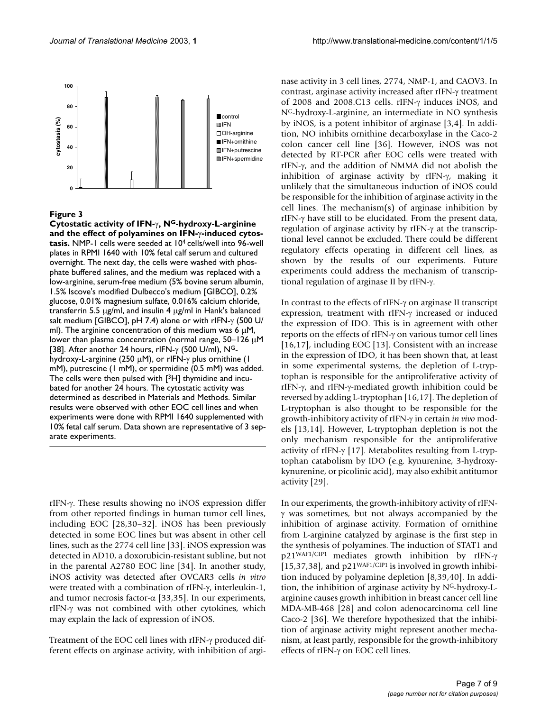

#### Figure 3

**Cytostatic activity of IFN-**γ**, NG-hydroxy-L-arginine and the effect of polyamines on IFN-**γ**-induced cytostasis.** NMP-1 cells were seeded at 104 cells/well into 96-well plates in RPMI 1640 with 10% fetal calf serum and cultured overnight. The next day, the cells were washed with phosphate buffered salines, and the medium was replaced with a low-arginine, serum-free medium (5% bovine serum albumin, 1.5% Iscove's modified Dulbecco's medium [GIBCO], 0.2% glucose, 0.01% magnesium sulfate, 0.016% calcium chloride, transferrin 5.5 µg/ml, and insulin 4 µg/ml in Hank's balanced salt medium [GIBCO], pH 7.4) alone or with rIFN-γ (500 U/ ml). The arginine concentration of this medium was 6  $\mu$ M, lower than plasma concentration (normal range, 50–126 µM [38]. After another 24 hours, rIFN-γ (500 U/ml), NGhydroxy-L-arginine (250 µM), or rIFN-γ plus ornithine (1 mM), putrescine (1 mM), or spermidine (0.5 mM) was added. The cells were then pulsed with [3H] thymidine and incubated for another 24 hours. The cytostatic activity was determined as described in Materials and Methods. Similar results were observed with other EOC cell lines and when experiments were done with RPMI 1640 supplemented with 10% fetal calf serum. Data shown are representative of 3 separate experiments.

rIFN-γ. These results showing no iNOS expression differ from other reported findings in human tumor cell lines, including EOC [28,30–32]. iNOS has been previously detected in some EOC lines but was absent in other cell lines, such as the 2774 cell line [33]. iNOS expression was detected in AD10, a doxorubicin-resistant subline, but not in the parental A2780 EOC line [34]. In another study, iNOS activity was detected after OVCAR3 cells *in vitro* were treated with a combination of rIFN-γ, interleukin-1, and tumor necrosis factor- $\alpha$  [33,35]. In our experiments, rIFN-γ was not combined with other cytokines, which may explain the lack of expression of iNOS.

Treatment of the EOC cell lines with rIFN-γ produced different effects on arginase activity, with inhibition of arginase activity in 3 cell lines, 2774, NMP-1, and CAOV3. In contrast, arginase activity increased after rIFN-γ treatment of 2008 and 2008.C13 cells. rIFN-γ induces iNOS, and NG-hydroxy-L-arginine, an intermediate in NO synthesis by iNOS, is a potent inhibitor of arginase [3,4]. In addition, NO inhibits ornithine decarboxylase in the Caco-2 colon cancer cell line [36]. However, iNOS was not detected by RT-PCR after EOC cells were treated with rIFN-γ, and the addition of NMMA did not abolish the inhibition of arginase activity by rIFN-γ, making it unlikely that the simultaneous induction of iNOS could be responsible for the inhibition of arginase activity in the cell lines. The mechanism(s) of arginase inhibition by rIFN-γ have still to be elucidated. From the present data, regulation of arginase activity by rIFN-γ at the transcriptional level cannot be excluded. There could be different regulatory effects operating in different cell lines, as shown by the results of our experiments. Future experiments could address the mechanism of transcriptional regulation of arginase II by rIFN-γ.

In contrast to the effects of rIFN-γ on arginase II transcript expression, treatment with rIFN-γ increased or induced the expression of IDO. This is in agreement with other reports on the effects of rIFN-γ on various tumor cell lines [16,17], including EOC [13]. Consistent with an increase in the expression of IDO, it has been shown that, at least in some experimental systems, the depletion of L-tryptophan is responsible for the antiproliferative activity of rIFN-γ, and rIFN-γ-mediated growth inhibition could be reversed by adding L-tryptophan [16,17]. The depletion of L-tryptophan is also thought to be responsible for the growth-inhibitory activity of rIFN-γ in certain *in vivo* models [13,14]. However, L-tryptophan depletion is not the only mechanism responsible for the antiproliferative activity of rIFN-γ [17]. Metabolites resulting from L-tryptophan catabolism by IDO (e.g. kynurenine, 3-hydroxykynurenine, or picolinic acid), may also exhibit antitumor activity [29].

In our experiments, the growth-inhibitory activity of rIFNγ was sometimes, but not always accompanied by the inhibition of arginase activity. Formation of ornithine from L-arginine catalyzed by arginase is the first step in the synthesis of polyamines. The induction of STAT1 and p21WAF1/CIP1 mediates growth inhibition by rIFN-γ  $[15,37,38]$  $[15,37,38]$  $[15,37,38]$ , and p21<sup>WAF1/CIP1</sup> is involved in growth inhibition induced by polyamine depletion [\[8](#page-7-0),[39,](#page-8-1)40]. In addition, the inhibition of arginase activity by NG-hydroxy-Larginine causes growth inhibition in breast cancer cell line MDA-MB-468 [28] and colon adenocarcinoma cell line Caco-2 [36]. We therefore hypothesized that the inhibition of arginase activity might represent another mechanism, at least partly, responsible for the growth-inhibitory effects of rIFN-γ on EOC cell lines.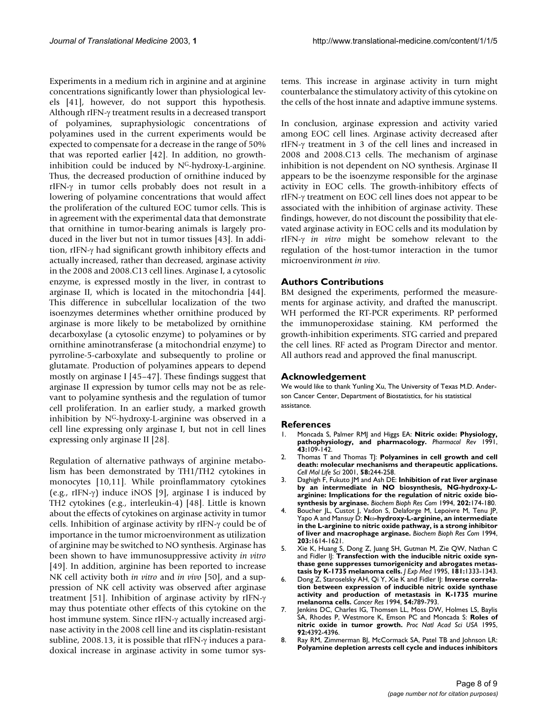Experiments in a medium rich in arginine and at arginine concentrations significantly lower than physiological levels [41], however, do not support this hypothesis. Although rIFN-γ treatment results in a decreased transport of polyamines, supraphysiologic concentrations of polyamines used in the current experiments would be expected to compensate for a decrease in the range of 50% that was reported earlier [42]. In addition, no growthinhibition could be induced by NG-hydroxy-L-arginine. Thus, the decreased production of ornithine induced by rIFN-γ in tumor cells probably does not result in a lowering of polyamine concentrations that would affect the proliferation of the cultured EOC tumor cells. This is in agreement with the experimental data that demonstrate that ornithine in tumor-bearing animals is largely produced in the liver but not in tumor tissues [43]. In addition, rIFN-γ had significant growth inhibitory effects and actually increased, rather than decreased, arginase activity in the 2008 and 2008.C13 cell lines. Arginase I, a cytosolic enzyme, is expressed mostly in the liver, in contrast to arginase II, which is located in the mitochondria [44]. This difference in subcellular localization of the two isoenzymes determines whether ornithine produced by arginase is more likely to be metabolized by ornithine decarboxylase (a cytosolic enzyme) to polyamines or by ornithine aminotransferase (a mitochondrial enzyme) to pyrroline-5-carboxylate and subsequently to proline or glutamate. Production of polyamines appears to depend mostly on arginase I [45–47]. These findings suggest that arginase II expression by tumor cells may not be as relevant to polyamine synthesis and the regulation of tumor cell proliferation. In an earlier study, a marked growth inhibition by NG-hydroxy-L-arginine was observed in a cell line expressing only arginase I, but not in cell lines expressing only arginase II [28].

Regulation of alternative pathways of arginine metabolism has been demonstrated by TH1/TH2 cytokines in monocytes [10,11]. While proinflammatory cytokines (e.g., rIFN-γ) induce iNOS [9], arginase I is induced by TH2 cytokines (e.g., interleukin-4) [48]. Little is known about the effects of cytokines on arginase activity in tumor cells. Inhibition of arginase activity by rIFN-γ could be of importance in the tumor microenvironment as utilization of arginine may be switched to NO synthesis. Arginase has been shown to have immunosuppressive activity *in vitro* [49]. In addition, arginine has been reported to increase NK cell activity both *in vitro* and *in vivo* [50], and a suppression of NK cell activity was observed after arginase treatment [51]. Inhibition of arginase activity by rIFN-γ may thus potentiate other effects of this cytokine on the host immune system. Since rIFN-γ actually increased arginase activity in the 2008 cell line and its cisplatin-resistant subline, 2008.13, it is possible that rIFN- $\gamma$  induces a paradoxical increase in arginase activity in some tumor systems. This increase in arginase activity in turn might counterbalance the stimulatory activity of this cytokine on the cells of the host innate and adaptive immune systems.

In conclusion, arginase expression and activity varied among EOC cell lines. Arginase activity decreased after rIFN-γ treatment in 3 of the cell lines and increased in 2008 and 2008.C13 cells. The mechanism of arginase inhibition is not dependent on NO synthesis. Arginase II appears to be the isoenzyme responsible for the arginase activity in EOC cells. The growth-inhibitory effects of rIFN-γ treatment on EOC cell lines does not appear to be associated with the inhibition of arginase activity. These findings, however, do not discount the possibility that elevated arginase activity in EOC cells and its modulation by rIFN-γ *in vitro* might be somehow relevant to the regulation of the host-tumor interaction in the tumor microenvironment *in vivo*.

#### **Authors Contributions**

BM designed the experiments, performed the measurements for arginase activity, and drafted the manuscript. WH performed the RT-PCR experiments. RP performed the immunoperoxidase staining. KM performed the growth-inhibition experiments. STG carried and prepared the cell lines. RF acted as Program Director and mentor. All authors read and approved the final manuscript.

#### **Acknowledgement**

We would like to thank Yunling Xu, The University of Texas M.D. Anderson Cancer Center, Department of Biostatistics, for his statistical assistance.

#### **References**

- 1. Moncada S, Palmer RMJ and Higgs EA: **[Nitric oxide: Physiology,](http://www.ncbi.nlm.nih.gov/entrez/query.fcgi?cmd=Retrieve&db=PubMed&dopt=Abstract&list_uids=1852778) [pathophysiology, and pharmacology.](http://www.ncbi.nlm.nih.gov/entrez/query.fcgi?cmd=Retrieve&db=PubMed&dopt=Abstract&list_uids=1852778)** *Pharmacol Rev* 1991, **43:**109-142.
- 2. Thomas T and Thomas TJ: **[Polyamines in cell growth and cell](http://www.ncbi.nlm.nih.gov/entrez/query.fcgi?cmd=Retrieve&db=PubMed&dopt=Abstract&list_uids=11289306) [death: molecular mechanisms and therapeutic applications.](http://www.ncbi.nlm.nih.gov/entrez/query.fcgi?cmd=Retrieve&db=PubMed&dopt=Abstract&list_uids=11289306)** *Cell Mol Life Sci* 2001, **58:**244-258.
- 3. Daghigh F, Fukuto JM and Ash DE: **Inhibition of rat liver arginase by an intermediate in NO biosynthesis, NG-hydroxy-Larginine: Implications for the regulation of nitric oxide biosynthesis by arginase.** *Biochem Bioph Res Com* 1994, **202:**174-180.
- 4. Boucher JL, Custot J, Vadon S, Delaforge M, Lepoivre M, Tenu JP, Yapo A and Mansuy D: **N**ω**-hydroxy-L-arginine, an intermediate in the L-arginine to nitric oxide pathway, is a strong inhibitor of liver and macrophage arginase.** *Biochem Bioph Res Com* 1994, **203:**1614-1621.
- 5. Xie K, Huang S, Dong Z, Juang SH, Gutman M, Zie QW, Nathan C and Fidler IJ: **[Transfection with the inducible nitric oxide syn](http://www.ncbi.nlm.nih.gov/entrez/query.fcgi?cmd=Retrieve&db=PubMed&dopt=Abstract&list_uids=7535333)[thase gene suppresses tumorigenicity and abrogates metas](http://www.ncbi.nlm.nih.gov/entrez/query.fcgi?cmd=Retrieve&db=PubMed&dopt=Abstract&list_uids=7535333)[tasis by K-1735 melanoma cells.](http://www.ncbi.nlm.nih.gov/entrez/query.fcgi?cmd=Retrieve&db=PubMed&dopt=Abstract&list_uids=7535333)** *J Exp Med* 1995, **181:**1333-1343.
- 6. Dong Z, Staroselsky AH, Qi Y, Xie K and Fidler IJ: **[Inverse correla](http://www.ncbi.nlm.nih.gov/entrez/query.fcgi?cmd=Retrieve&db=PubMed&dopt=Abstract&list_uids=7508336)tion between expression of inducible nitric oxide synthase [activity and production of metastasis in K-1735 murine](http://www.ncbi.nlm.nih.gov/entrez/query.fcgi?cmd=Retrieve&db=PubMed&dopt=Abstract&list_uids=7508336) [melanoma cells.](http://www.ncbi.nlm.nih.gov/entrez/query.fcgi?cmd=Retrieve&db=PubMed&dopt=Abstract&list_uids=7508336)** *Cancer Res* 1994, **54:**789-793.
- 7. Jenkins DC, Charles IG, Thomsen LL, Moss DW, Holmes LS, Baylis SA, Rhodes P, Westmore K, Emson PC and Moncada S: **[Roles of](http://www.ncbi.nlm.nih.gov/entrez/query.fcgi?cmd=Retrieve&db=PubMed&dopt=Abstract&list_uids=41950) [nitric oxide in tumor growth.](http://www.ncbi.nlm.nih.gov/entrez/query.fcgi?cmd=Retrieve&db=PubMed&dopt=Abstract&list_uids=41950)** *Proc Natl Acad Sci USA* 1995, **92:**4392-4396.
- <span id="page-7-0"></span>8. Ray RM, Zimmerman BJ, McCormack SA, Patel TB and Johnson LR: **Polyamine depletion arrests cell cycle and induces inhibitors**